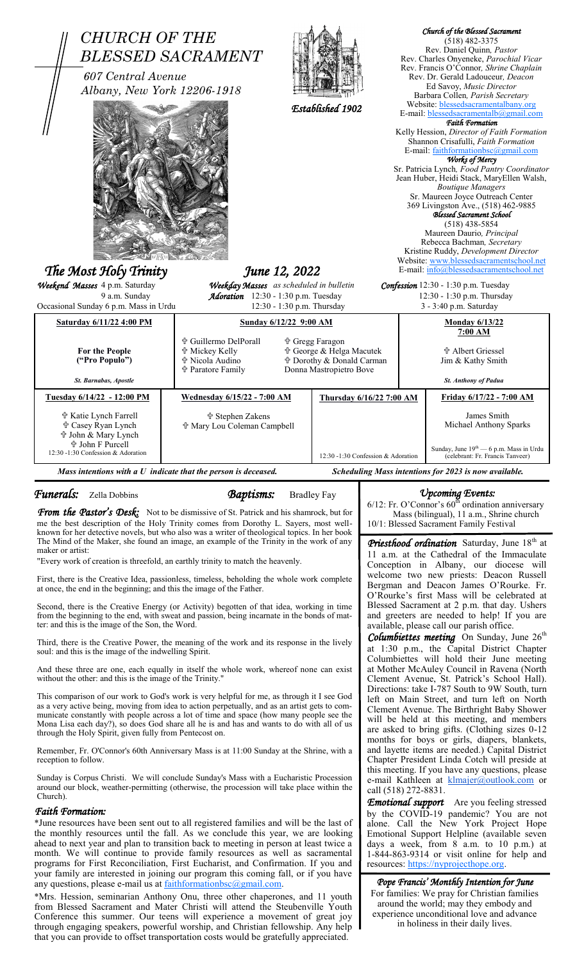| <b>CHURCH OF THE</b><br>607 Central Avenue<br>Albany, New York 12206-1918<br>The Most Holy Trinity                                                                  | <b>BLESSED SACRAMENT</b>                                                                                                                                                                                                                                                                                                                                                                                                                                                                                                                                                                                              | Established 1902                                                                                                      |                      | Church of the Blessed Sacrament<br>$(518)$ 482-3375<br>Rev. Daniel Quinn, Pastor<br>Rev. Charles Onyeneke, Parochial Vicar<br>Rev. Francis O'Connor, Shrine Chaplain<br>Rev. Dr. Gerald Ladouceur, Deacon<br>Ed Savoy, Music Director<br>Barbara Collen, Parish Secretary<br>Website: blessedsacramentalbany.org<br>E-mail: blessedsacramentalb@gmail.com<br><b>Faith Formation</b><br>Kelly Hession, Director of Faith Formation<br>Shannon Crisafulli, Faith Formation<br>E-mail: faithformationbsc@gmail.com<br>Works of Mercy<br>Sr. Patricia Lynch, Food Pantry Coordinator<br>Jean Huber, Heidi Stack, MaryEllen Walsh,<br><b>Boutique Managers</b><br>Sr. Maureen Joyce Outreach Center<br>369 Livingston Ave., (518) 462-9885<br>Blessed Sacrament School<br>$(518)$ 438-5854<br>Maureen Daurio, Principal<br>Rebecca Bachman, Secretary<br>Kristine Ruddy, Development Director<br>Website: www.blessedsacramentschool.net<br>E-mail: info@blessedsacramentschool.net |
|---------------------------------------------------------------------------------------------------------------------------------------------------------------------|-----------------------------------------------------------------------------------------------------------------------------------------------------------------------------------------------------------------------------------------------------------------------------------------------------------------------------------------------------------------------------------------------------------------------------------------------------------------------------------------------------------------------------------------------------------------------------------------------------------------------|-----------------------------------------------------------------------------------------------------------------------|----------------------|--------------------------------------------------------------------------------------------------------------------------------------------------------------------------------------------------------------------------------------------------------------------------------------------------------------------------------------------------------------------------------------------------------------------------------------------------------------------------------------------------------------------------------------------------------------------------------------------------------------------------------------------------------------------------------------------------------------------------------------------------------------------------------------------------------------------------------------------------------------------------------------------------------------------------------------------------------------------------------|
| Weekend Masses 4 p.m. Saturday                                                                                                                                      | June 12, 2022<br>Weekday Masses as scheduled in bulletin                                                                                                                                                                                                                                                                                                                                                                                                                                                                                                                                                              |                                                                                                                       |                      | Confession 12:30 - 1:30 p.m. Tuesday                                                                                                                                                                                                                                                                                                                                                                                                                                                                                                                                                                                                                                                                                                                                                                                                                                                                                                                                           |
| 9 a.m. Sunday                                                                                                                                                       | Adoration 12:30 - 1:30 p.m. Tuesday                                                                                                                                                                                                                                                                                                                                                                                                                                                                                                                                                                                   |                                                                                                                       |                      | 12:30 - 1:30 p.m. Thursday                                                                                                                                                                                                                                                                                                                                                                                                                                                                                                                                                                                                                                                                                                                                                                                                                                                                                                                                                     |
| Occasional Sunday 6 p.m. Mass in Urdu<br>Saturday 6/11/22 4:00 PM                                                                                                   | Sunday 6/12/22 9:00 AM                                                                                                                                                                                                                                                                                                                                                                                                                                                                                                                                                                                                | 12:30 - 1:30 p.m. Thursday                                                                                            |                      | 3 - 3:40 p.m. Saturday                                                                                                                                                                                                                                                                                                                                                                                                                                                                                                                                                                                                                                                                                                                                                                                                                                                                                                                                                         |
| For the People<br>("Pro Populo")                                                                                                                                    | † Guillermo DelPorall<br><b>廿 Mickey Kelly</b><br>nd Nicola Audino<br><b>† Paratore Family</b>                                                                                                                                                                                                                                                                                                                                                                                                                                                                                                                        | <b>† Gregg Faragon</b><br>† George & Helga Macutek<br><b>廿 Dorothy &amp; Donald Carman</b><br>Donna Mastropietro Bove |                      | <b>Monday 6/13/22</b><br>7:00 AM<br><b>廿 Albert Griessel</b><br>Jim & Kathy Smith<br><b>St. Anthony of Padua</b>                                                                                                                                                                                                                                                                                                                                                                                                                                                                                                                                                                                                                                                                                                                                                                                                                                                               |
| St. Barnabas, Apostle<br>Tuesday 6/14/22 - 12:00 PM                                                                                                                 | <b>Wednesday 6/15/22 - 7:00 AM</b>                                                                                                                                                                                                                                                                                                                                                                                                                                                                                                                                                                                    | Thursday 6/16/22 7:00 AM                                                                                              |                      | Friday 6/17/22 - 7:00 AM                                                                                                                                                                                                                                                                                                                                                                                                                                                                                                                                                                                                                                                                                                                                                                                                                                                                                                                                                       |
| <b>the Katie Lynch Farrell</b><br><b><math>\Phi</math> Casey Ryan Lynch</b><br>수 John & Mary Lynch<br><b>† John F Purcell</b><br>12:30 -1:30 Confession & Adoration | ੳ Stephen Zakens<br>☆ Mary Lou Coleman Campbell                                                                                                                                                                                                                                                                                                                                                                                                                                                                                                                                                                       | 12:30 -1:30 Confession & Adoration                                                                                    |                      | James Smith<br>Michael Anthony Sparks<br>Sunday, June 19 <sup>th</sup> - 6 p.m. Mass in Urdu<br>(celebrant: Fr. Francis Tanveer)                                                                                                                                                                                                                                                                                                                                                                                                                                                                                                                                                                                                                                                                                                                                                                                                                                               |
| Mass intentions with a $U$ indicate that the person is deceased.<br>Scheduling Mass intentions for 2023 is now available.                                           |                                                                                                                                                                                                                                                                                                                                                                                                                                                                                                                                                                                                                       |                                                                                                                       |                      |                                                                                                                                                                                                                                                                                                                                                                                                                                                                                                                                                                                                                                                                                                                                                                                                                                                                                                                                                                                |
|                                                                                                                                                                     | <b><i>Funerals:</i></b> Zella Dobbins<br><b>Baptisms:</b><br><b>Bradley Fay</b><br><b>From the Pastor's Desk:</b> Not to be dismissive of St. Patrick and his shamrock, but for<br>me the best description of the Holy Trinity comes from Dorothy L. Sayers, most well-                                                                                                                                                                                                                                                                                                                                               |                                                                                                                       |                      |                                                                                                                                                                                                                                                                                                                                                                                                                                                                                                                                                                                                                                                                                                                                                                                                                                                                                                                                                                                |
|                                                                                                                                                                     |                                                                                                                                                                                                                                                                                                                                                                                                                                                                                                                                                                                                                       |                                                                                                                       |                      | <b><i>Upcoming Events:</i></b><br>$6/12$ : Fr. O'Connor's $60th$ ordination anniversary<br>Mass (bilingual), 11 a.m., Shrine church<br>10/1: Blessed Sacrament Family Festival                                                                                                                                                                                                                                                                                                                                                                                                                                                                                                                                                                                                                                                                                                                                                                                                 |
| maker or artist:                                                                                                                                                    | known for her detective novels, but who also was a writer of theological topics. In her book<br>The Mind of the Maker, she found an image, an example of the Trinity in the work of any<br>"Every work of creation is threefold, an earthly trinity to match the heavenly.                                                                                                                                                                                                                                                                                                                                            |                                                                                                                       |                      | <b>Priesthood ordination</b> Saturday, June 18 <sup>th</sup> at<br>11 a.m. at the Cathedral of the Immaculate<br>Conception in Albany, our diocese will<br>welcome two new priests: Deacon Russell                                                                                                                                                                                                                                                                                                                                                                                                                                                                                                                                                                                                                                                                                                                                                                             |
| at once, the end in the beginning; and this the image of the Father.                                                                                                | First, there is the Creative Idea, passionless, timeless, beholding the whole work complete<br>Second, there is the Creative Energy (or Activity) begotten of that idea, working in time<br>from the beginning to the end, with sweat and passion, being incarnate in the bonds of mat-                                                                                                                                                                                                                                                                                                                               |                                                                                                                       |                      | Bergman and Deacon James O'Rourke. Fr.<br>O'Rourke's first Mass will be celebrated at<br>Blessed Sacrament at 2 p.m. that day. Ushers<br>and greeters are needed to help! If you are                                                                                                                                                                                                                                                                                                                                                                                                                                                                                                                                                                                                                                                                                                                                                                                           |
| ter: and this is the image of the Son, the Word.<br>soul: and this is the image of the indwelling Spirit.                                                           | Third, there is the Creative Power, the meaning of the work and its response in the lively                                                                                                                                                                                                                                                                                                                                                                                                                                                                                                                            |                                                                                                                       |                      | available, please call our parish office.<br><b>Columbiettes meeting</b> On Sunday, June $26th$<br>at 1:30 p.m., the Capital District Chapter<br>Columbiettes will hold their June meeting                                                                                                                                                                                                                                                                                                                                                                                                                                                                                                                                                                                                                                                                                                                                                                                     |
| without the other: and this is the image of the Trinity."<br>through the Holy Spirit, given fully from Pentecost on.                                                | And these three are one, each equally in itself the whole work, whereof none can exist<br>This comparison of our work to God's work is very helpful for me, as through it I see God<br>as a very active being, moving from idea to action perpetually, and as an artist gets to com-<br>municate constantly with people across a lot of time and space (how many people see the<br>Mona Lisa each day?), so does God share all he is and has and wants to do with all of us                                                                                                                                           |                                                                                                                       |                      | at Mother McAuley Council in Ravena (North<br>Clement Avenue, St. Patrick's School Hall).<br>Directions: take I-787 South to 9W South, turn<br>left on Main Street, and turn left on North<br>Clement Avenue. The Birthright Baby Shower<br>will be held at this meeting, and members<br>are asked to bring gifts. (Clothing sizes 0-12                                                                                                                                                                                                                                                                                                                                                                                                                                                                                                                                                                                                                                        |
| reception to follow.                                                                                                                                                | Remember, Fr. O'Connor's 60th Anniversary Mass is at 11:00 Sunday at the Shrine, with a<br>Sunday is Corpus Christi. We will conclude Sunday's Mass with a Eucharistic Procession                                                                                                                                                                                                                                                                                                                                                                                                                                     |                                                                                                                       |                      | months for boys or girls, diapers, blankets,<br>and layette items are needed.) Capital District<br>Chapter President Linda Cotch will preside at<br>this meeting. If you have any questions, please<br>e-mail Kathleen at klmajer@outlook.com or                                                                                                                                                                                                                                                                                                                                                                                                                                                                                                                                                                                                                                                                                                                               |
| Church).<br><b>Faith Formation:</b><br>any questions, please e-mail us at faithformationbsc@gmail.com.                                                              | around our block, weather-permitting (otherwise, the procession will take place within the<br>*June resources have been sent out to all registered families and will be the last of<br>the monthly resources until the fall. As we conclude this year, we are looking<br>ahead to next year and plan to transition back to meeting in person at least twice a<br>month. We will continue to provide family resources as well as sacramental<br>programs for First Reconciliation, First Eucharist, and Confirmation. If you and<br>your family are interested in joining our program this coming fall, or if you have |                                                                                                                       | call (518) 272-8831. | <b>Emotional support</b> Are you feeling stressed<br>by the COVID-19 pandemic? You are not<br>alone. Call the New York Project Hope<br>Emotional Support Helpline (available seven<br>days a week, from 8 a.m. to 10 p.m.) at<br>1-844-863-9314 or visit online for help and<br>resources: https://nyprojecthope.org.<br>Pope Francis' Monthly Intention for June                                                                                                                                                                                                                                                                                                                                                                                                                                                                                                                                                                                                              |

from Blessed Sacrament and Mater Christi will attend the Steubenville Youth Conference this summer. Our teens will experience a movement of great joy  $\overline{\phantom{a}}$ through engaging speakers, powerful worship, and Christian fellowship. Any help that you can provide to offset transportation costs would be gratefully appreciated.

around the world; may they embody and experience unconditional love and advance in holiness in their daily lives.